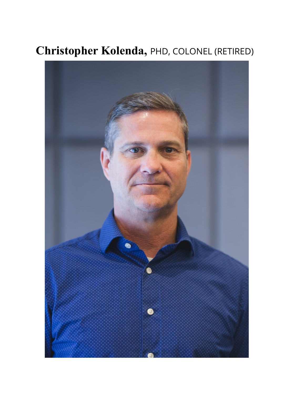## **Christopher Kolenda,** PHD, COLONEL (RETIRED)

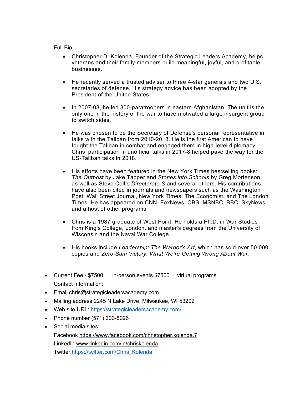Full Bio:

- Christopher D. Kolenda, Founder of the Strategic Leaders Academy, helps veterans and their family members build meaningful, joyful, and profitable businesses.
- He recently served a trusted adviser to three 4-star generals and two U.S. secretaries of defense. His strategy advice has been adopted by the President of the United States.
- In 2007-08, he led 800-paratroopers in eastern Afghanistan. The unit is the only one in the history of the war to have motivated a large insurgent group to switch sides.
- He was chosen to be the Secretary of Defense's personal representative in talks with the Taliban from 2010-2013. He is the first American to have fought the Taliban in combat and engaged them in high-level diplomacy. Chris' participation in unofficial talks in 2017-8 helped pave the way for the US-Taliban talks in 2018.
- His efforts have been featured in the New York Times bestselling books: *The Outpost* by Jake Tapper and *Stones into Schools* by Greg Mortenson, as well as Steve Coll's *Directorate S* and several others. His contributions have also been cited in journals and newspapers such as the Washington Post, Wall Street Journal, New York Times, The Economist, and The London Times. He has appeared on CNN, FoxNews, CBS, MSNBC, BBC, SkyNews, and a host of other programs.
- Chris is a 1987 graduate of West Point. He holds a Ph.D. in War Studies from King's College, London, and master's degrees from the University of Wisconsin and the Naval War College.
- His books include *Leadership: The Warrior's Art*, which has sold over 50,000 copies and *Zero-Sum Victory: What We're Getting Wrong About War.*
- Current Fee \$7500 in-person events \$7500 virtual programs Contact Information:
- Email [chris@strategicleadersacademy.com](mailto:chris@strategicleadersacademy.com)
- Mailing address 2245 N Lake Drive, Milwaukee, WI 53202
- Web site URL:<https://strategicleadersacademy.com/>
- Phone number (571) 303-8096
- Social media sites:

Facebook<https://www.facebook.com/christopher.kolenda.7>

LinkedIn [www.linkedin.com/in/chriskolenda](http://www.linkedin.com/in/chriskolenda)

Twitter [https://twitter.com/Chris\\_Kolenda](https://twitter.com/Chris_Kolenda)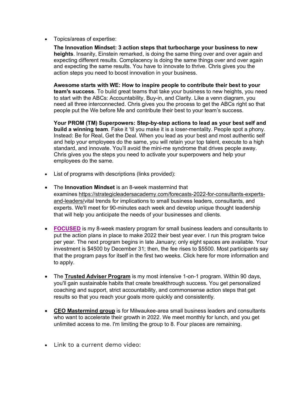• Topics/areas of expertise:

**The Innovation Mindset: 3 action steps that turbocharge your business to new heights**. Insanity, Einstein remarked, is doing the same thing over and over again and expecting different results. Complacency is doing the same things over and over again and expecting the same results. You have to innovate to thrive. Chris gives you the action steps you need to boost innovation in your business.

**Awesome starts with WE: How to inspire people to contribute their best to your team's success**. To build great teams that take your business to new heights, you need to start with the ABCs: Accountability, Buy-in, and Clarity. Like a venn diagram, you need all three interconnected. Chris gives you the process to get the ABCs right so that people put the We before Me and contribute their best to your team's success.

**Your PROM (TM) Superpowers: Step-by-step actions to lead as your best self and build a winning team**. Fake it 'til you make it is a loser-mentality. People spot a phony. Instead: Be for Real, Get the Deal. When you lead as your best and most authentic self and help your employees do the same, you will retain your top talent, execute to a high standard, and innovate. You'll avoid the mini-me syndrome that drives people away. Chris gives you the steps you need to activate your superpowers and help your employees do the same.

- List of programs with descriptions (links provided):
- The **Innovation Mindset** is an 8-week mastermind that examines [https://strategicleadersacademy.com/forecasts-2022-for-consultants-experts](https://strategicleadersacademy.lt.acemlna.com/Prod/link-tracker?redirectUrl=aHR0cHMlM0ElMkYlMkZzdHJhdGVnaWNsZWFkZXJzYWNhZGVteS5jb20lMkZmb3JlY2FzdHMtMjAyMi1mb3ItY29uc3VsdGFudHMtZXhwZXJ0cy1hbmQtbGVhZGVycyUyRg==&sig=HFvf1m9DMEtTHDi2aaxmbQFp73THvA9WtKp23cTcrQBx&iat=1639990268&a=%7C%7C66657912%7C%7C&account=strategicleadersacademy%2Eactivehosted%2Ecom&email=tjtN08evB2Jk%2F2wzxjS5ovlMy%2BOWWuyaZunZiCXh6gI%3D&s=356fce57f476c988f3c7f253e9dab87e&i=449A591A1A4751)[and-leaders/v](https://strategicleadersacademy.lt.acemlna.com/Prod/link-tracker?redirectUrl=aHR0cHMlM0ElMkYlMkZzdHJhdGVnaWNsZWFkZXJzYWNhZGVteS5jb20lMkZmb3JlY2FzdHMtMjAyMi1mb3ItY29uc3VsdGFudHMtZXhwZXJ0cy1hbmQtbGVhZGVycyUyRg==&sig=HFvf1m9DMEtTHDi2aaxmbQFp73THvA9WtKp23cTcrQBx&iat=1639990268&a=%7C%7C66657912%7C%7C&account=strategicleadersacademy%2Eactivehosted%2Ecom&email=tjtN08evB2Jk%2F2wzxjS5ovlMy%2BOWWuyaZunZiCXh6gI%3D&s=356fce57f476c988f3c7f253e9dab87e&i=449A591A1A4751)ital trends for implications to small business leaders, consultants, and experts. We'll meet for 90-minutes each week and develop unique thought leadership that will help you anticipate the needs of your businesses and clients.
- **[FOCUSED](https://strategicleadersacademy.lt.acemlna.com/Prod/link-tracker?redirectUrl=aHR0cHMlM0ElMkYlMkZkcml2ZS5nb29nbGUuY29tJTJGZmlsZSUyRmQlMkYxbXAybVNjYm5yRjZ3WjRxblZEX2FxMUp2bjhNU21qOWYlMkZ2aWV3JTNGdXNwJTNEc2hhcmluZw==&sig=3581xKXvRLq5vWoyTsUN5sYGTTPLsXMz481QhNGkva4K&iat=1639990268&a=%7C%7C66657912%7C%7C&account=strategicleadersacademy%2Eactivehosted%2Ecom&email=tjtN08evB2Jk%2F2wzxjS5ovlMy%2BOWWuyaZunZiCXh6gI%3D&s=356fce57f476c988f3c7f253e9dab87e&i=449A591A1A4738)** is my 8-week mastery program for small business leaders and consultants to put the action plans in place to make 2022 their best year ever. I run this program twice per year. The next program begins in late January; only eight spaces are available. Your investment is \$4500 by December 31; then, the fee rises to \$5500. Most participants say that the program pays for itself in the first two weeks. Click [here](https://strategicleadersacademy.lt.acemlna.com/Prod/link-tracker?redirectUrl=aHR0cHMlM0ElMkYlMkZkcml2ZS5nb29nbGUuY29tJTJGZmlsZSUyRmQlMkYxbXAybVNjYm5yRjZ3WjRxblZEX2FxMUp2bjhNU21qOWYlMkZ2aWV3JTNGdXNwJTNEc2hhcmluZw==&sig=3581xKXvRLq5vWoyTsUN5sYGTTPLsXMz481QhNGkva4K&iat=1639990268&a=%7C%7C66657912%7C%7C&account=strategicleadersacademy%2Eactivehosted%2Ecom&email=tjtN08evB2Jk%2F2wzxjS5ovlMy%2BOWWuyaZunZiCXh6gI%3D&s=356fce57f476c988f3c7f253e9dab87e&i=449A591A1A4738) for more information and to apply.
- The **[Trusted Adviser Program](https://strategicleadersacademy.lt.acemlna.com/Prod/link-tracker?redirectUrl=aHR0cHMlM0ElMkYlMkZkcml2ZS5nb29nbGUuY29tJTJGZmlsZSUyRmQlMkYxOV9OZFpZUmZVcXBvYU9DYjFQLWUzWTAtd1ZtS2JKRVYlMkZ2aWV3JTNGdXNwJTNEc2hhcmluZw==&sig=AaM48wHKZuQiGkwMpQZbouqJ2yVm3y19ZnBkMEnFRmi6&iat=1639990268&a=%7C%7C66657912%7C%7C&account=strategicleadersacademy%2Eactivehosted%2Ecom&email=tjtN08evB2Jk%2F2wzxjS5ovlMy%2BOWWuyaZunZiCXh6gI%3D&s=356fce57f476c988f3c7f253e9dab87e&i=449A591A1A4752)** is my most intensive 1-on-1 program. Within 90 days, you'll gain sustainable habits that create breakthrough success. You get personalized coaching and support, strict accountability, and commonsense action steps that get results so that you reach your goals more quickly and consistently.
- **[CEO Mastermind group](https://strategicleadersacademy.lt.acemlna.com/Prod/link-tracker?redirectUrl=aHR0cHMlM0ElMkYlMkZkcml2ZS5nb29nbGUuY29tJTJGZmlsZSUyRmQlMkYxUnA0ZFRBTkc2M2pjbTdIdUhIandpSVd0My1GN2JQV1YlMkZ2aWV3JTNGdXNwJTNEc2hhcmluZw==&sig=6B3iMYBvv8RjLAiWHGgnT9kn3FPmSMxQK5dAi38ywbk&iat=1639990268&a=%7C%7C66657912%7C%7C&account=strategicleadersacademy%2Eactivehosted%2Ecom&email=tjtN08evB2Jk%2F2wzxjS5ovlMy%2BOWWuyaZunZiCXh6gI%3D&s=356fce57f476c988f3c7f253e9dab87e&i=449A591A1A4737)** is for Milwaukee-area small business leaders and consultants who want to accelerate their growth in 2022. We meet monthly for lunch, and you get unlimited access to me. I'm limiting the group to 8. Four places are remaining.
- Link to a current demo video: